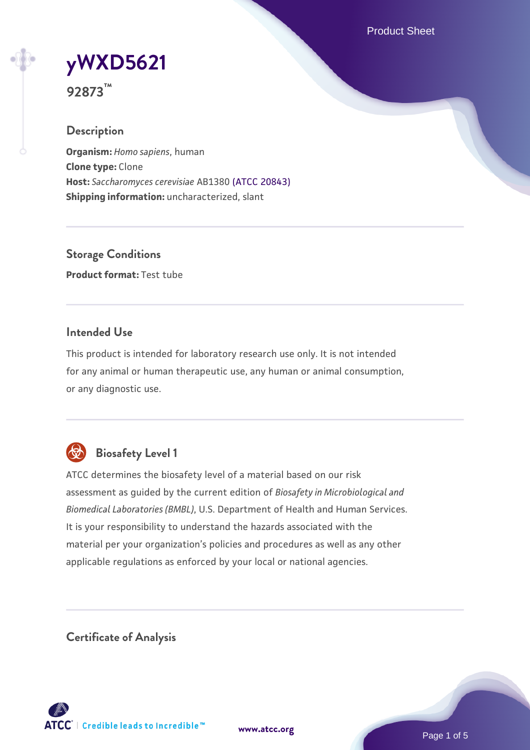Product Sheet

# **[yWXD5621](https://www.atcc.org/products/92873)**

**92873™**

# **Description**

**Organism:** *Homo sapiens*, human **Clone type:** Clone **Host:** *Saccharomyces cerevisiae* AB1380 [\(ATCC 20843\)](https://www.atcc.org/products/20843) **Shipping information:** uncharacterized, slant

**Storage Conditions Product format:** Test tube

# **Intended Use**

This product is intended for laboratory research use only. It is not intended for any animal or human therapeutic use, any human or animal consumption, or any diagnostic use.



# **Biosafety Level 1**

ATCC determines the biosafety level of a material based on our risk assessment as guided by the current edition of *Biosafety in Microbiological and Biomedical Laboratories (BMBL)*, U.S. Department of Health and Human Services. It is your responsibility to understand the hazards associated with the material per your organization's policies and procedures as well as any other applicable regulations as enforced by your local or national agencies.

**Certificate of Analysis**

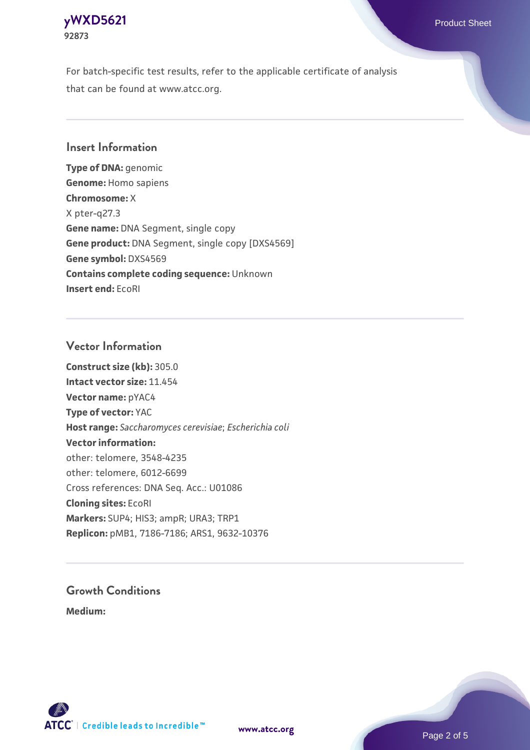# **[yWXD5621](https://www.atcc.org/products/92873)** Product Sheet **92873**

For batch-specific test results, refer to the applicable certificate of analysis that can be found at www.atcc.org.

## **Insert Information**

**Type of DNA:** genomic **Genome:** Homo sapiens **Chromosome:** X X pter-q27.3 **Gene name:** DNA Segment, single copy **Gene product:** DNA Segment, single copy [DXS4569] **Gene symbol:** DXS4569 **Contains complete coding sequence:** Unknown **Insert end:** EcoRI

## **Vector Information**

**Construct size (kb):** 305.0 **Intact vector size:** 11.454 **Vector name:** pYAC4 **Type of vector:** YAC **Host range:** *Saccharomyces cerevisiae*; *Escherichia coli* **Vector information:** other: telomere, 3548-4235 other: telomere, 6012-6699 Cross references: DNA Seq. Acc.: U01086 **Cloning sites:** EcoRI **Markers:** SUP4; HIS3; ampR; URA3; TRP1 **Replicon:** pMB1, 7186-7186; ARS1, 9632-10376

# **Growth Conditions**

**Medium:** 



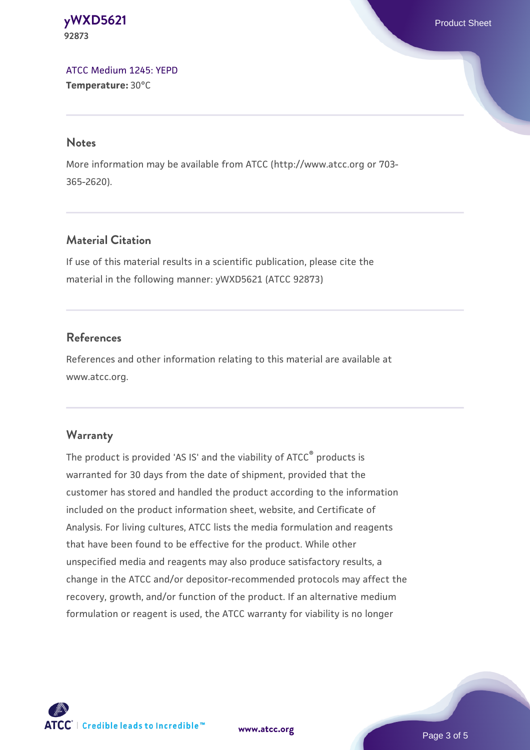#### **[yWXD5621](https://www.atcc.org/products/92873)** Product Sheet **92873**

[ATCC Medium 1245: YEPD](https://www.atcc.org/-/media/product-assets/documents/microbial-media-formulations/1/2/4/5/atcc-medium-1245.pdf?rev=705ca55d1b6f490a808a965d5c072196) **Temperature:** 30°C

#### **Notes**

More information may be available from ATCC (http://www.atcc.org or 703- 365-2620).

# **Material Citation**

If use of this material results in a scientific publication, please cite the material in the following manner: yWXD5621 (ATCC 92873)

# **References**

References and other information relating to this material are available at www.atcc.org.

# **Warranty**

The product is provided 'AS IS' and the viability of ATCC® products is warranted for 30 days from the date of shipment, provided that the customer has stored and handled the product according to the information included on the product information sheet, website, and Certificate of Analysis. For living cultures, ATCC lists the media formulation and reagents that have been found to be effective for the product. While other unspecified media and reagents may also produce satisfactory results, a change in the ATCC and/or depositor-recommended protocols may affect the recovery, growth, and/or function of the product. If an alternative medium formulation or reagent is used, the ATCC warranty for viability is no longer



**[www.atcc.org](http://www.atcc.org)**

Page 3 of 5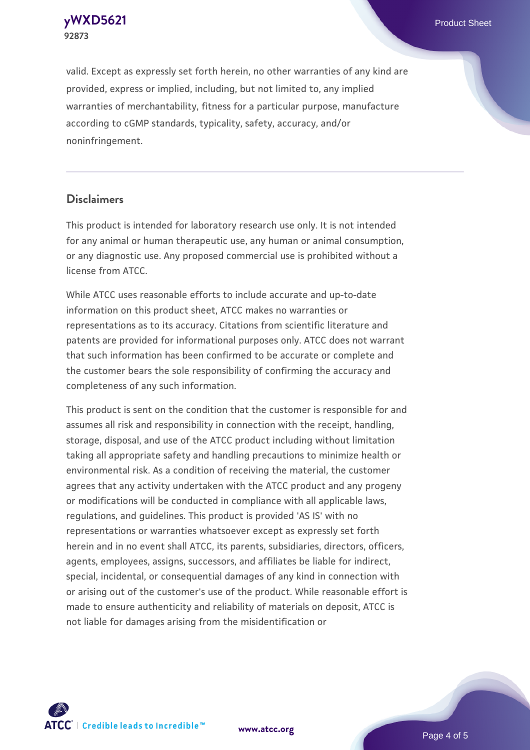**[yWXD5621](https://www.atcc.org/products/92873)** Product Sheet **92873**

valid. Except as expressly set forth herein, no other warranties of any kind are provided, express or implied, including, but not limited to, any implied warranties of merchantability, fitness for a particular purpose, manufacture according to cGMP standards, typicality, safety, accuracy, and/or noninfringement.

#### **Disclaimers**

This product is intended for laboratory research use only. It is not intended for any animal or human therapeutic use, any human or animal consumption, or any diagnostic use. Any proposed commercial use is prohibited without a license from ATCC.

While ATCC uses reasonable efforts to include accurate and up-to-date information on this product sheet, ATCC makes no warranties or representations as to its accuracy. Citations from scientific literature and patents are provided for informational purposes only. ATCC does not warrant that such information has been confirmed to be accurate or complete and the customer bears the sole responsibility of confirming the accuracy and completeness of any such information.

This product is sent on the condition that the customer is responsible for and assumes all risk and responsibility in connection with the receipt, handling, storage, disposal, and use of the ATCC product including without limitation taking all appropriate safety and handling precautions to minimize health or environmental risk. As a condition of receiving the material, the customer agrees that any activity undertaken with the ATCC product and any progeny or modifications will be conducted in compliance with all applicable laws, regulations, and guidelines. This product is provided 'AS IS' with no representations or warranties whatsoever except as expressly set forth herein and in no event shall ATCC, its parents, subsidiaries, directors, officers, agents, employees, assigns, successors, and affiliates be liable for indirect, special, incidental, or consequential damages of any kind in connection with or arising out of the customer's use of the product. While reasonable effort is made to ensure authenticity and reliability of materials on deposit, ATCC is not liable for damages arising from the misidentification or



**[www.atcc.org](http://www.atcc.org)**

Page 4 of 5